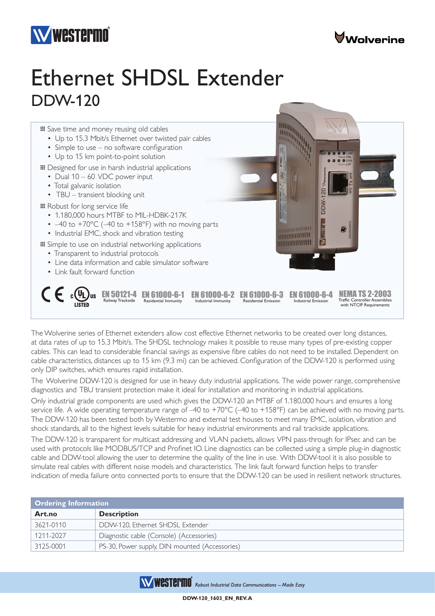



## Ethernet SHDSL Extender DDW-120



The Wolverine series of Ethernet extenders allow cost effective Ethernet networks to be created over long distances, at data rates of up to 15.3 Mbit/s. The SHDSL technology makes it possible to reuse many types of pre-existing copper cables. This can lead to considerable financial savings as expensive fibre cables do not need to be installed. Dependent on cable characteristics, distances up to 15 km (9.3 mi) can be achieved. Configuration of the DDW-120 is performed using only DIP switches, which ensures rapid installation.

The Wolverine DDW-120 is designed for use in heavy duty industrial applications. The wide power range, comprehensive diagnostics and TBU transient protection make it ideal for installation and monitoring in industrial applications.

Only industrial grade components are used which gives the DDW-120 an MTBF of 1.180,000 hours and ensures a long service life. A wide operating temperature range of  $-40$  to  $+70^{\circ}$ C ( $-40$  to  $+158^{\circ}$ F) can be achieved with no moving parts. The DDW-120 has been tested both by Westermo and external test houses to meet many EMC, isolation, vibration and shock standards, all to the highest levels suitable for heavy industrial environments and rail trackside applications.

The DDW-120 is transparent for multicast addressing and VLAN packets, allows VPN pass-through for IPsec and can be used with protocols like MODBUS/TCP and Profinet IO. Line diagnostics can be collected using a simple plug-in diagnostic cable and DDW-tool allowing the user to determine the quality of the line in use. With DDW-tool it is also possible to simulate real cables with different noise models and characteristics. The link fault forward function helps to transfer indication of media failure onto connected ports to ensure that the DDW-120 can be used in resilient network structures.

| <b>Ordering Information</b> |                                                |  |
|-----------------------------|------------------------------------------------|--|
| Art.no                      | <b>Description</b>                             |  |
| 3621-0110                   | DDW-120, Ethernet SHDSL Extender               |  |
| 1211-2027                   | Diagnostic cable (Console) (Accessories)       |  |
| 3125-0001                   | PS-30, Power supply, DIN mounted (Accessories) |  |